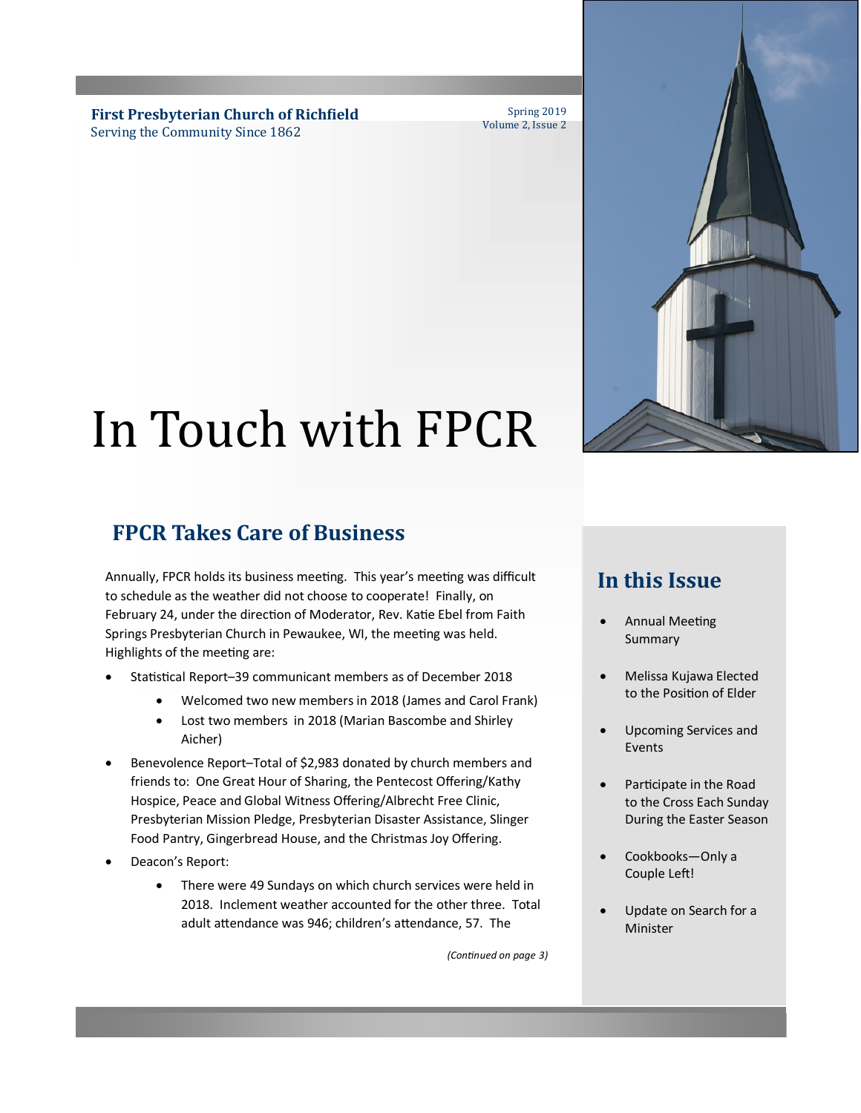**First Presbyterian Church of Richfield** Serving the Community Since 1862

Spring 2019 Volume 2, Issue 2

# In Touch with FPCR

## **FPCR Takes Care of Business**

Annually, FPCR holds its business meeting. This year's meeting was difficult to schedule as the weather did not choose to cooperate! Finally, on February 24, under the direction of Moderator, Rev. Katie Ebel from Faith Springs Presbyterian Church in Pewaukee, WI, the meeting was held. Highlights of the meeting are:

- Statistical Report–39 communicant members as of December 2018
	- Welcomed two new members in 2018 (James and Carol Frank)
	- Lost two members in 2018 (Marian Bascombe and Shirley Aicher)
- Benevolence Report–Total of \$2,983 donated by church members and friends to: One Great Hour of Sharing, the Pentecost Offering/Kathy Hospice, Peace and Global Witness Offering/Albrecht Free Clinic, Presbyterian Mission Pledge, Presbyterian Disaster Assistance, Slinger Food Pantry, Gingerbread House, and the Christmas Joy Offering.
- Deacon's Report:
	- There were 49 Sundays on which church services were held in 2018. Inclement weather accounted for the other three. Total adult attendance was 946; children's attendance, 57. The

*(Continued on page 3)*

## **In this Issue**

- Annual Meeting Summary
- Melissa Kujawa Elected to the Position of Elder
- Upcoming Services and Events
- Participate in the Road to the Cross Each Sunday During the Easter Season
- Cookbooks—Only a Couple Left!
- Update on Search for a Minister

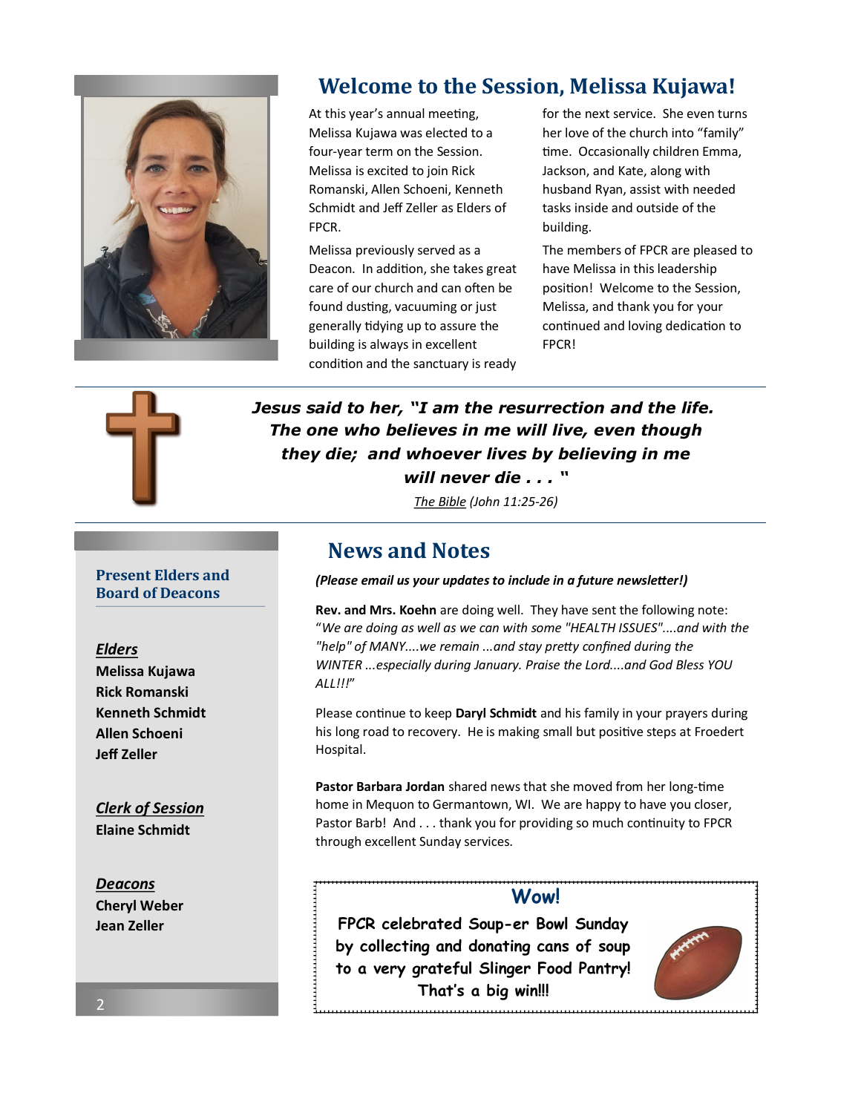

## **Welcome to the Session, Melissa Kujawa!**

At this year's annual meeting, Melissa Kujawa was elected to a four-year term on the Session. Melissa is excited to join Rick Romanski, Allen Schoeni, Kenneth Schmidt and Jeff Zeller as Elders of FPCR.

Melissa previously served as a Deacon. In addition, she takes great care of our church and can often be found dusting, vacuuming or just generally tidying up to assure the building is always in excellent condition and the sanctuary is ready for the next service. She even turns her love of the church into "family" time. Occasionally children Emma, Jackson, and Kate, along with husband Ryan, assist with needed tasks inside and outside of the building.

The members of FPCR are pleased to have Melissa in this leadership position! Welcome to the Session, Melissa, and thank you for your continued and loving dedication to FPCR!



*Jesus said to her, "I am the resurrection and the life. The one who believes in me will live, even though they die; and whoever lives by believing in me will never die . . . "*

*The Bible (John 11:25-26)*

### **News and Notes**

#### *(Please email us your updates to include in a future newsletter!)*

**Rev. and Mrs. Koehn** are doing well. They have sent the following note: "*We are doing as well as we can with some "HEALTH ISSUES"....and with the "help" of MANY....we remain ...and stay pretty confined during the WINTER ...especially during January. Praise the Lord....and God Bless YOU ALL!!!*"

Please continue to keep **Daryl Schmidt** and his family in your prayers during his long road to recovery. He is making small but positive steps at Froedert Hospital.

**Pastor Barbara Jordan** shared news that she moved from her long-time home in Mequon to Germantown, WI. We are happy to have you closer, Pastor Barb! And . . . thank you for providing so much continuity to FPCR through excellent Sunday services.

#### **Wow!**

**FPCR celebrated Soup-er Bowl Sunday by collecting and donating cans of soup to a very grateful Slinger Food Pantry! That's a big win!!!** 



#### **Present Elders and Board of Deacons**

#### *Elders*

**Melissa Kujawa Rick Romanski Kenneth Schmidt Allen Schoeni Jeff Zeller** 

*Clerk of Session* **Elaine Schmidt**

*Deacons* **Cheryl Weber Jean Zeller** 

2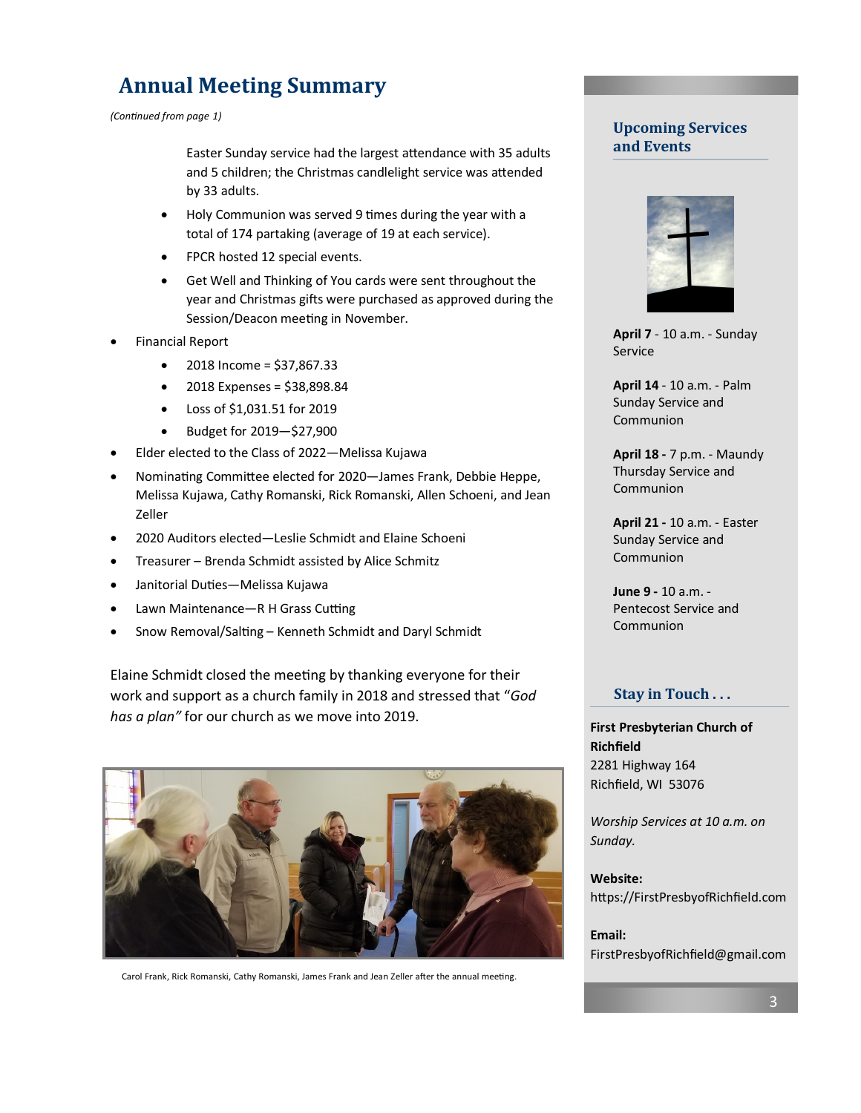## **Annual Meeting Summary**

*(Continued from page 1)*

Easter Sunday service had the largest attendance with 35 adults and 5 children; the Christmas candlelight service was attended by 33 adults.

- Holy Communion was served 9 times during the year with a total of 174 partaking (average of 19 at each service).
- FPCR hosted 12 special events.
- Get Well and Thinking of You cards were sent throughout the year and Christmas gifts were purchased as approved during the Session/Deacon meeting in November.
- Financial Report
	- 2018 Income = \$37,867.33
	- 2018 Expenses = \$38,898.84
	- Loss of \$1,031.51 for 2019
	- Budget for 2019—\$27,900
- Elder elected to the Class of 2022—Melissa Kujawa
- Nominating Committee elected for 2020—James Frank, Debbie Heppe, Melissa Kujawa, Cathy Romanski, Rick Romanski, Allen Schoeni, and Jean Zeller
- 2020 Auditors elected—Leslie Schmidt and Elaine Schoeni
- Treasurer Brenda Schmidt assisted by Alice Schmitz
- Janitorial Duties—Melissa Kujawa
- Lawn Maintenance—R H Grass Cutting
- Snow Removal/Salting Kenneth Schmidt and Daryl Schmidt

Elaine Schmidt closed the meeting by thanking everyone for their work and support as a church family in 2018 and stressed that "*God has a plan"* for our church as we move into 2019.



Carol Frank, Rick Romanski, Cathy Romanski, James Frank and Jean Zeller after the annual meeting.

#### **Upcoming Services and Events**



**April 7** - 10 a.m. - Sunday Service

**April 14** - 10 a.m. - Palm Sunday Service and Communion

**April 18 -** 7 p.m. - Maundy Thursday Service and **Communion** 

**April 21 -** 10 a.m. - Easter Sunday Service and Communion

**June 9 -** 10 a.m. - Pentecost Service and Communion

#### **Stay in Touch . . .**

**First Presbyterian Church of Richfield** 2281 Highway 164 Richfield, WI 53076

*Worship Services at 10 a.m. on Sunday.*

**Website:** https://FirstPresbyofRichfield.com

**Email:** FirstPresbyofRichfield@gmail.com